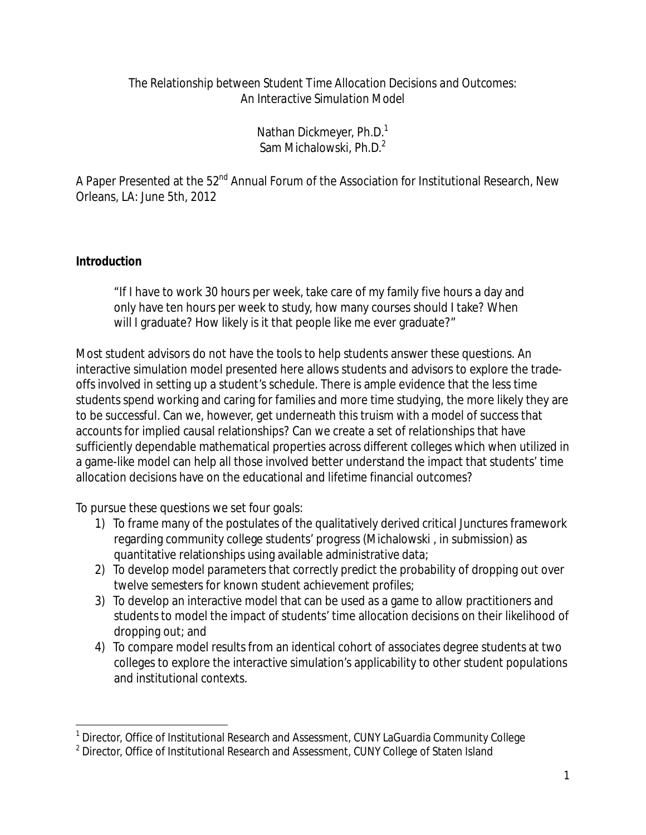# *The Relationship between Student Time Allocation Decisions and Outcomes: An Interactive Simulation Model*

Nathan Dickmeyer, Ph.D.<sup>1</sup> Sam Michalowski, Ph.D.2

A Paper Presented at the 52<sup>nd</sup> Annual Forum of the Association for Institutional Research, New Orleans, LA: June 5th, 2012

# **Introduction**

"If I have to work 30 hours per week, take care of my family five hours a day and only have ten hours per week to study, how many courses should I take? When will I graduate? How likely is it that people like me ever graduate?"

Most student advisors do not have the tools to help students answer these questions. An interactive simulation model presented here allows students and advisors to explore the tradeoffs involved in setting up a student's schedule. There is ample evidence that the less time students spend working and caring for families and more time studying, the more likely they are to be successful. Can we, however, get underneath this truism with a model of success that accounts for implied causal relationships? Can we create a set of relationships that have sufficiently dependable mathematical properties across different colleges which when utilized in a game-like model can help all those involved better understand the impact that students' time allocation decisions have on the educational and lifetime financial outcomes?

To pursue these questions we set four goals:

- 1) To frame many of the postulates of the qualitatively derived *critical Junctures* framework regarding community college students' progress (Michalowski , in submission) as quantitative relationships using available administrative data;
- 2) To develop model parameters that correctly predict the probability of dropping out over twelve semesters for known student achievement profiles;
- 3) To develop an interactive model that can be used as a game to allow practitioners and students to model the impact of students' time allocation decisions on their likelihood of dropping out; and
- 4) To compare model results from an identical cohort of associates degree students at two colleges to explore the interactive simulation's applicability to other student populations and institutional contexts.

 $\overline{a}$  $1$  Director, Office of Institutional Research and Assessment, CUNY LaGuardia Community College

<sup>&</sup>lt;sup>2</sup> Director, Office of Institutional Research and Assessment, CUNY College of Staten Island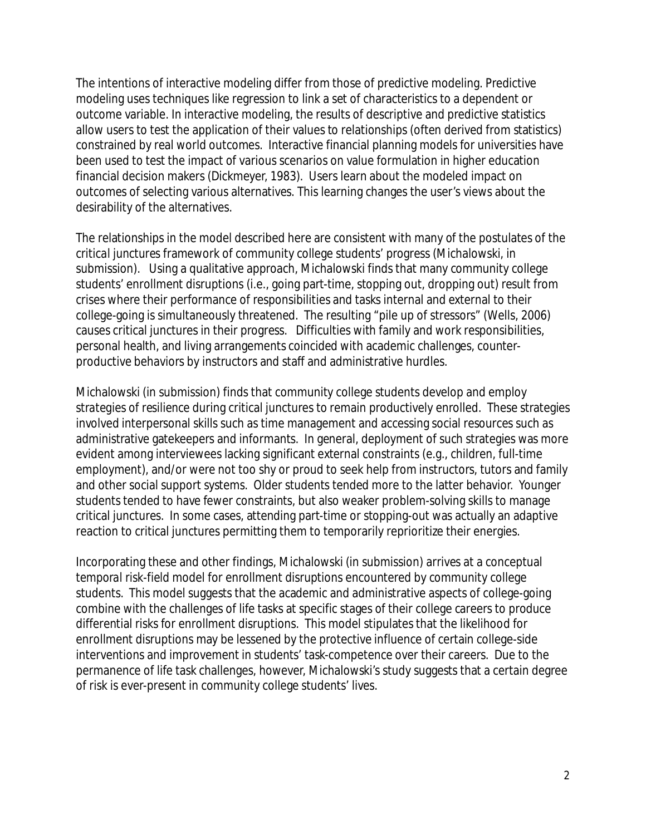The intentions of interactive modeling differ from those of predictive modeling. Predictive modeling uses techniques like regression to link a set of characteristics to a dependent or outcome variable. In interactive modeling, the results of descriptive and predictive statistics allow users to test the application of their values to relationships (often derived from statistics) constrained by real world outcomes. Interactive financial planning models for universities have been used to test the impact of various scenarios on value formulation in higher education financial decision makers (Dickmeyer, 1983). Users learn about the modeled impact on outcomes of selecting various alternatives. This learning changes the user's views about the desirability of the alternatives.

The relationships in the model described here are consistent with many of the postulates of the *critical junctures* framework of community college students' progress (Michalowski, in submission). Using a qualitative approach, Michalowski finds that many community college students' enrollment disruptions (i.e., going part-time, stopping out, dropping out) result from crises where their performance of responsibilities and tasks internal and external to their college-going is simultaneously threatened. The resulting "pile up of stressors" (Wells, 2006) causes critical junctures in their progress. Difficulties with family and work responsibilities, personal health, and living arrangements coincided with academic challenges, counterproductive behaviors by instructors and staff and administrative hurdles.

Michalowski (in submission) finds that community college students develop and employ *strategies of resilience* during critical junctures to remain productively enrolled. These strategies involved interpersonal skills such as time management and accessing social resources such as administrative gatekeepers and informants. In general, deployment of such strategies was more evident among interviewees lacking significant external constraints (e.g., children, full-time employment), and/or were not too shy or proud to seek help from instructors, tutors and family and other social support systems. Older students tended more to the latter behavior. Younger students tended to have fewer constraints, but also weaker problem-solving skills to manage critical junctures. In some cases, attending part-time or stopping-out was actually an adaptive reaction to critical junctures permitting them to temporarily reprioritize their energies.

Incorporating these and other findings, Michalowski (in submission) arrives at a conceptual *temporal risk*-*field* model for enrollment disruptions encountered by community college students. This model suggests that the academic and administrative aspects of college-going combine with the challenges of life tasks at specific stages of their college careers to produce differential risks for enrollment disruptions. This model stipulates that the likelihood for enrollment disruptions may be lessened by the protective influence of certain college-side interventions and improvement in students' task-competence over their careers. Due to the permanence of life task challenges, however, Michalowski's study suggests that a certain degree of risk is ever-present in community college students' lives.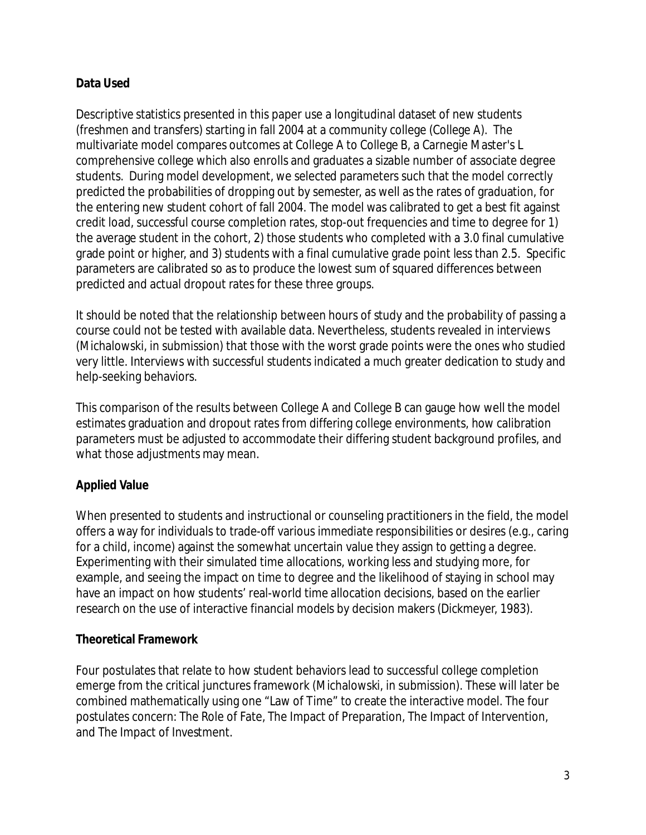# **Data Used**

Descriptive statistics presented in this paper use a longitudinal dataset of new students (freshmen and transfers) starting in fall 2004 at a community college (College A). The multivariate model compares outcomes at College A to College B, a Carnegie Master's L comprehensive college which also enrolls and graduates a sizable number of associate degree students. During model development, we selected parameters such that the model correctly predicted the probabilities of dropping out by semester, as well as the rates of graduation, for the entering new student cohort of fall 2004. The model was calibrated to get a best fit against credit load, successful course completion rates, stop-out frequencies and time to degree for 1) the average student in the cohort, 2) those students who completed with a 3.0 final cumulative grade point or higher, and 3) students with a final cumulative grade point less than 2.5. Specific parameters are calibrated so as to produce the lowest sum of squared differences between predicted and actual dropout rates for these three groups.

It should be noted that the relationship between hours of study and the probability of passing a course could not be tested with available data. Nevertheless, students revealed in interviews (Michalowski, in submission) that those with the worst grade points were the ones who studied very little. Interviews with successful students indicated a much greater dedication to study and help-seeking behaviors.

This comparison of the results between College A and College B can gauge how well the model estimates graduation and dropout rates from differing college environments, how calibration parameters must be adjusted to accommodate their differing student background profiles, and what those adjustments may mean.

# **Applied Value**

When presented to students and instructional or counseling practitioners in the field, the model offers a way for individuals to trade-off various immediate responsibilities or desires (e.g., caring for a child, income) against the somewhat uncertain value they assign to getting a degree. Experimenting with their simulated time allocations, working less and studying more, for example, and seeing the impact on time to degree and the likelihood of staying in school may have an impact on how students' real-world time allocation decisions, based on the earlier research on the use of interactive financial models by decision makers (Dickmeyer, 1983).

# **Theoretical Framework**

Four postulates that relate to how student behaviors lead to successful college completion emerge from the critical junctures framework (Michalowski, in submission). These will later be combined mathematically using one "Law of Time" to create the interactive model. The four postulates concern: The Role of Fate, The Impact of Preparation, The Impact of Intervention, and The Impact of Investment.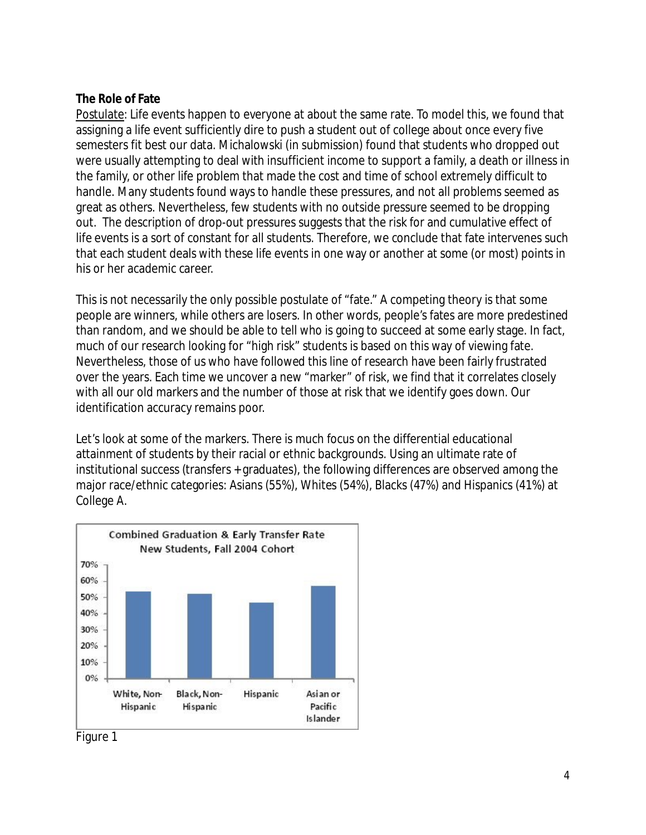# **The Role of Fate**

Postulate: Life events happen to everyone at about the same rate. To model this, we found that assigning a life event sufficiently dire to push a student out of college about once every five semesters fit best our data. Michalowski (in submission) found that students who dropped out were usually attempting to deal with insufficient income to support a family, a death or illness in the family, or other life problem that made the cost and time of school extremely difficult to handle. Many students found ways to handle these pressures, and not all problems seemed as great as others. Nevertheless, few students with no outside pressure seemed to be dropping out. The description of drop-out pressures suggests that the risk for and cumulative effect of life events is a sort of constant for all students. Therefore, we conclude that fate intervenes such that each student deals with these life events in one way or another at some (or most) points in his or her academic career.

This is not necessarily the only possible postulate of "fate." A competing theory is that some people are winners, while others are losers. In other words, people's fates are more predestined than random, and we should be able to tell who is going to succeed at some early stage. In fact, much of our research looking for "high risk" students is based on this way of viewing fate. Nevertheless, those of us who have followed this line of research have been fairly frustrated over the years. Each time we uncover a new "marker" of risk, we find that it correlates closely with all our old markers and the number of those at risk that we identify goes down. Our identification accuracy remains poor.

Let's look at some of the markers. There is much focus on the differential educational attainment of students by their racial or ethnic backgrounds. Using an ultimate rate of institutional success (transfers + graduates), the following differences are observed among the major race/ethnic categories: Asians (55%), Whites (54%), Blacks (47%) and Hispanics (41%) at College A.



Figure 1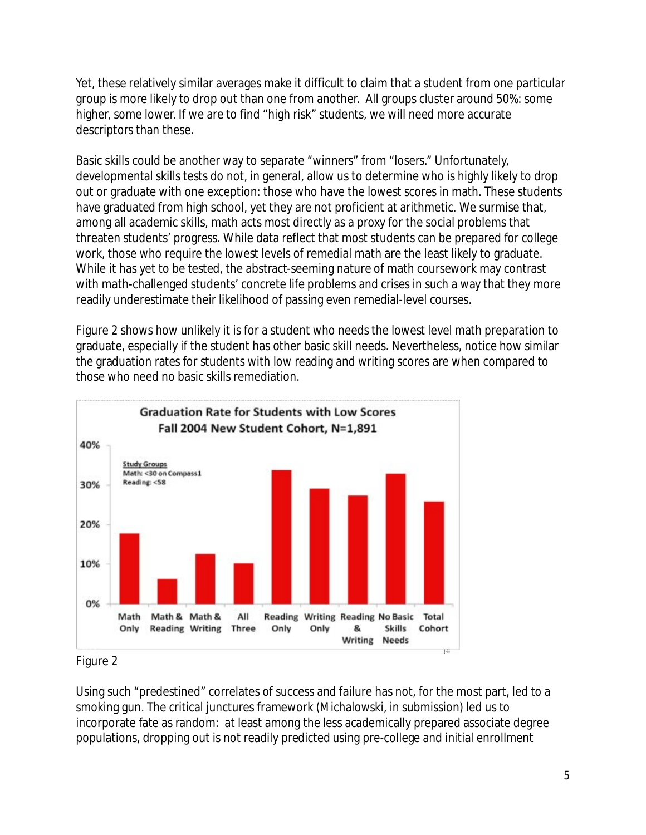Yet, these relatively similar averages make it difficult to claim that a student from one particular group is more likely to drop out than one from another. All groups cluster around 50%: some higher, some lower. If we are to find "high risk" students, we will need more accurate descriptors than these.

Basic skills could be another way to separate "winners" from "losers." Unfortunately, developmental skills tests do not, in general, allow us to determine who is highly likely to drop out or graduate with one exception: those who have the lowest scores in math. These students have graduated from high school, yet they are not proficient at arithmetic. We surmise that, among all academic skills, math acts most directly as a proxy for the social problems that threaten students' progress. While data reflect that most students can be prepared for college work, those who require the lowest levels of remedial math are the least likely to graduate. While it has yet to be tested, the abstract-seeming nature of math coursework may contrast with math-challenged students' concrete life problems and crises in such a way that they more readily underestimate their likelihood of passing even remedial-level courses.

Figure 2 shows how unlikely it is for a student who needs the lowest level math preparation to graduate, especially if the student has other basic skill needs. Nevertheless, notice how similar the graduation rates for students with low reading and writing scores are when compared to those who need no basic skills remediation.



Figure 2

Using such "predestined" correlates of success and failure has not, for the most part, led to a smoking gun. The critical junctures framework (Michalowski, in submission) led us to incorporate fate as random: at least among the less academically prepared associate degree populations, dropping out is not readily predicted using pre-college and initial enrollment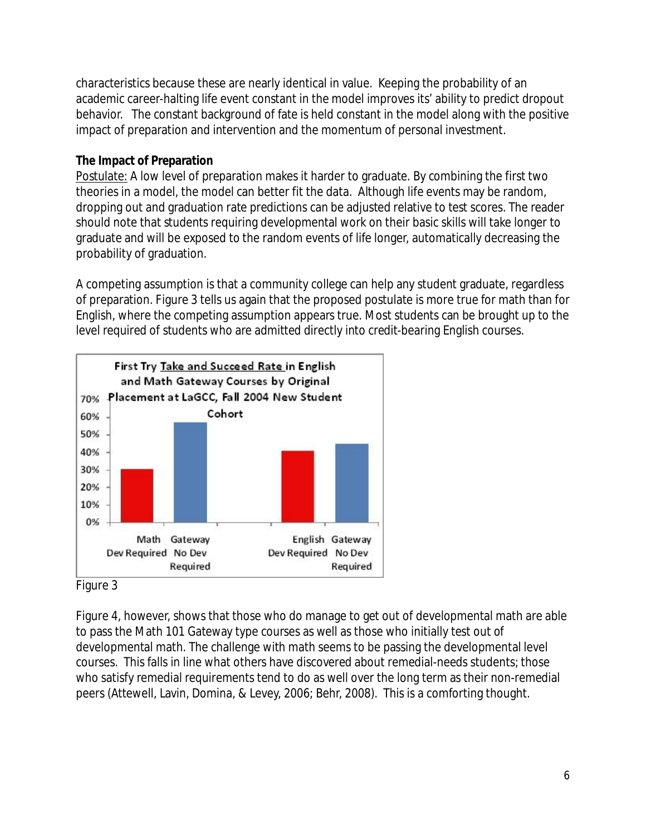characteristics because these are nearly identical in value. Keeping the probability of an academic career-halting life event constant in the model improves its' ability to predict dropout behavior. The constant background of fate is held constant in the model along with the positive impact of preparation and intervention and the momentum of personal investment.

# **The Impact of Preparation**

Postulate: A low level of preparation makes it harder to graduate. By combining the first two theories in a model, the model can better fit the data. Although life events may be random, dropping out and graduation rate predictions can be adjusted relative to test scores. The reader should note that students requiring developmental work on their basic skills will take longer to graduate and will be exposed to the random events of life longer, automatically decreasing the probability of graduation.

A competing assumption is that a community college can help any student graduate, regardless of preparation. Figure 3 tells us again that the proposed postulate is more true for math than for English, where the competing assumption appears true. Most students can be brought up to the level required of students who are admitted directly into credit-bearing English courses.



Figure 3

Figure 4, however, shows that those who do manage to get out of developmental math are able to pass the Math 101 Gateway type courses as well as those who initially test out of developmental math. The challenge with math seems to be passing the developmental level courses. This falls in line what others have discovered about remedial-needs students; those who satisfy remedial requirements tend to do as well over the long term as their non-remedial peers (Attewell, Lavin, Domina, & Levey, 2006; Behr, 2008). This is a comforting thought.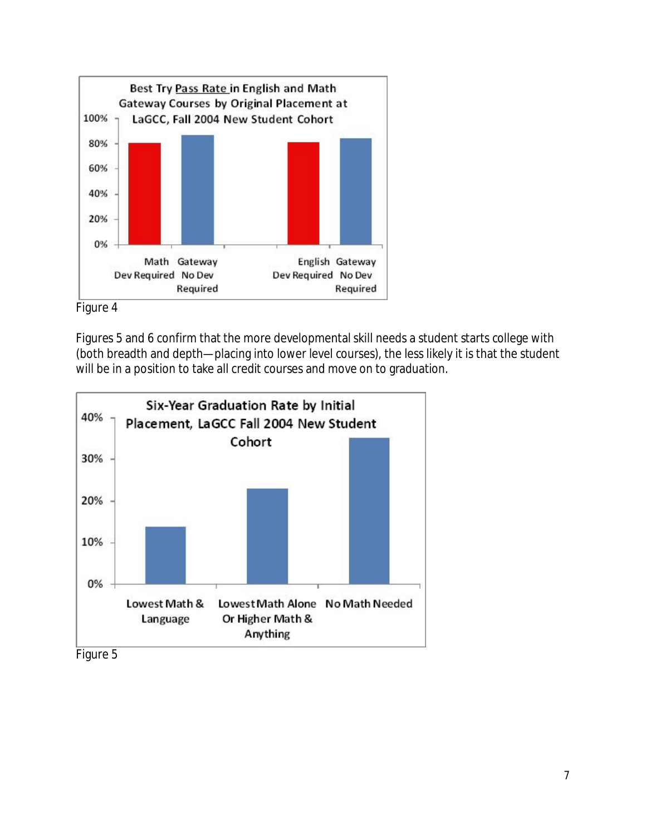

Figure 4

Figures 5 and 6 confirm that the more developmental skill needs a student starts college with (both breadth and depth—placing into lower level courses), the less likely it is that the student will be in a position to take all credit courses and move on to graduation.



Figure 5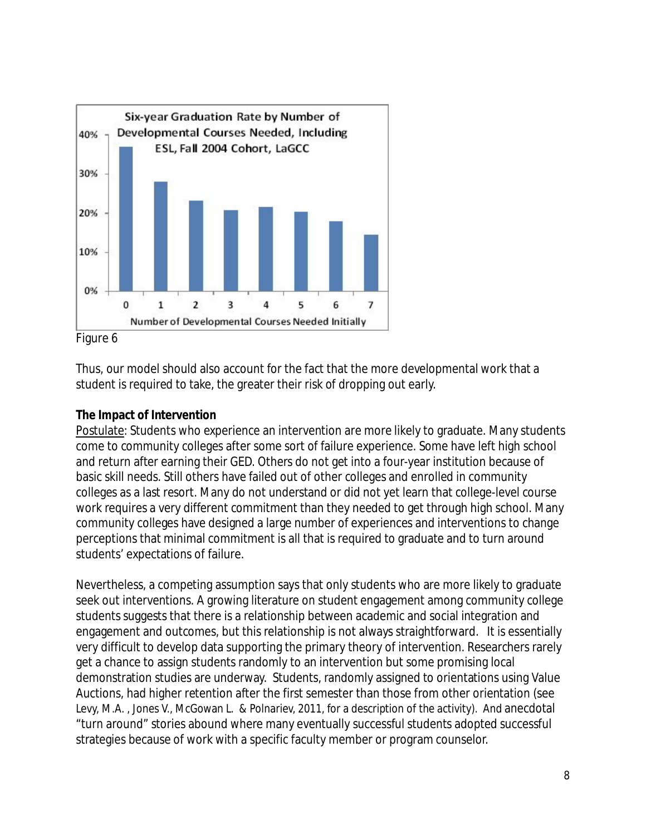

Figure 6

Thus, our model should also account for the fact that the more developmental work that a student is required to take, the greater their risk of dropping out early.

# **The Impact of Intervention**

Postulate: Students who experience an intervention are more likely to graduate. Many students come to community colleges after some sort of failure experience. Some have left high school and return after earning their GED. Others do not get into a four-year institution because of basic skill needs. Still others have failed out of other colleges and enrolled in community colleges as a last resort. Many do not understand or did not yet learn that college-level course work requires a very different commitment than they needed to get through high school. Many community colleges have designed a large number of experiences and interventions to change perceptions that minimal commitment is all that is required to graduate and to turn around students' expectations of failure.

Nevertheless, a competing assumption says that only students who are more likely to graduate seek out interventions. A growing literature on student engagement among community college students suggests that there is a relationship between academic and social integration and engagement and outcomes, but this relationship is not always straightforward. It is essentially very difficult to develop data supporting the primary theory of intervention. Researchers rarely get a chance to assign students randomly to an intervention but some promising local demonstration studies are underway. Students, randomly assigned to orientations using Value Auctions, had higher retention after the first semester than those from other orientation (see Levy, M.A. , Jones V., McGowan L. & Polnariev, 2011, for a description of the activity). And anecdotal "turn around" stories abound where many eventually successful students adopted successful strategies because of work with a specific faculty member or program counselor.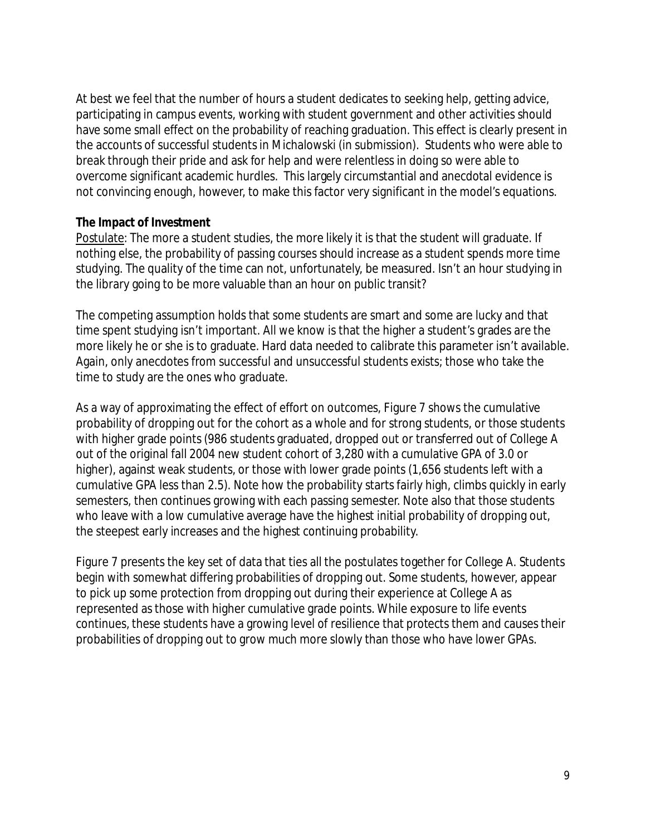At best we feel that the number of hours a student dedicates to seeking help, getting advice, participating in campus events, working with student government and other activities should have some small effect on the probability of reaching graduation. This effect is clearly present in the accounts of successful students in Michalowski (in submission). Students who were able to break through their pride and ask for help and were relentless in doing so were able to overcome significant academic hurdles. This largely circumstantial and anecdotal evidence is not convincing enough, however, to make this factor very significant in the model's equations.

#### **The Impact of Investment**

Postulate: The more a student studies, the more likely it is that the student will graduate. If nothing else, the probability of passing courses should increase as a student spends more time studying. The quality of the time can not, unfortunately, be measured. Isn't an hour studying in the library going to be more valuable than an hour on public transit?

The competing assumption holds that some students are smart and some are lucky and that time spent studying isn't important. All we know is that the higher a student's grades are the more likely he or she is to graduate. Hard data needed to calibrate this parameter isn't available. Again, only anecdotes from successful and unsuccessful students exists; those who take the time to study are the ones who graduate.

As a way of approximating the effect of effort on outcomes, Figure 7 shows the cumulative probability of dropping out for the cohort as a whole and for strong students, or those students with higher grade points (986 students graduated, dropped out or transferred out of College A out of the original fall 2004 new student cohort of 3,280 with a cumulative GPA of 3.0 or higher), against weak students, or those with lower grade points (1,656 students left with a cumulative GPA less than 2.5). Note how the probability starts fairly high, climbs quickly in early semesters, then continues growing with each passing semester. Note also that those students who leave with a low cumulative average have the highest initial probability of dropping out, the steepest early increases and the highest continuing probability.

Figure 7 presents the key set of data that ties all the postulates together for College A. Students begin with somewhat differing probabilities of dropping out. Some students, however, appear to pick up some protection from dropping out during their experience at College A as represented as those with higher cumulative grade points. While exposure to life events continues, these students have a growing level of resilience that protects them and causes their probabilities of dropping out to grow much more slowly than those who have lower GPAs.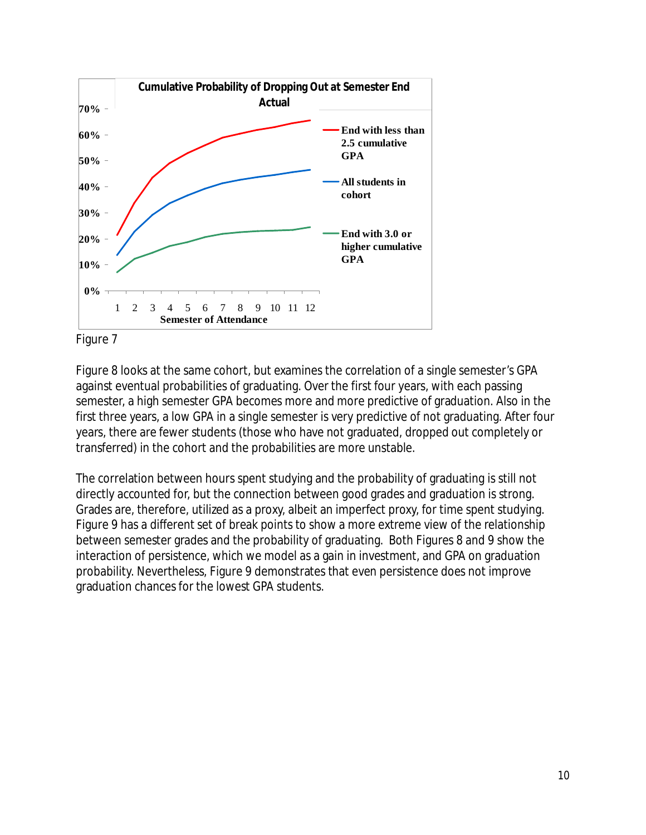



Figure 8 looks at the same cohort, but examines the correlation of a single semester's GPA against eventual probabilities of graduating. Over the first four years, with each passing semester, a high semester GPA becomes more and more predictive of graduation. Also in the first three years, a low GPA in a single semester is very predictive of not graduating. After four years, there are fewer students (those who have not graduated, dropped out completely or transferred) in the cohort and the probabilities are more unstable.

The correlation between hours spent studying and the probability of graduating is still not directly accounted for, but the connection between good grades and graduation is strong. Grades are, therefore, utilized as a proxy, albeit an imperfect proxy, for time spent studying. Figure 9 has a different set of break points to show a more extreme view of the relationship between semester grades and the probability of graduating. Both Figures 8 and 9 show the interaction of persistence, which we model as a gain in investment, and GPA on graduation probability. Nevertheless, Figure 9 demonstrates that even persistence does not improve graduation chances for the lowest GPA students.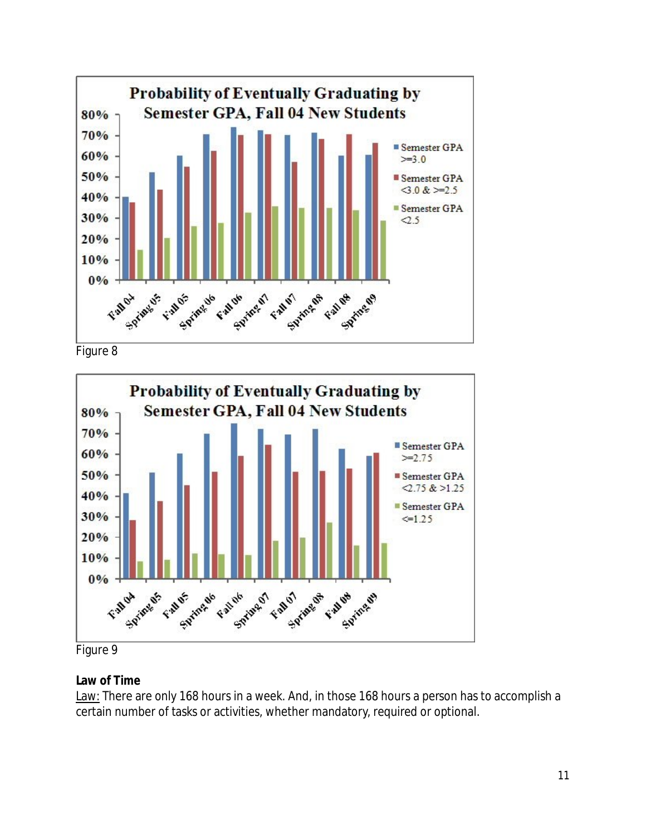

Figure 8



Figure 9

# **Law of Time**

Law: There are only 168 hours in a week. And, in those 168 hours a person has to accomplish a certain number of tasks or activities, whether mandatory, required or optional.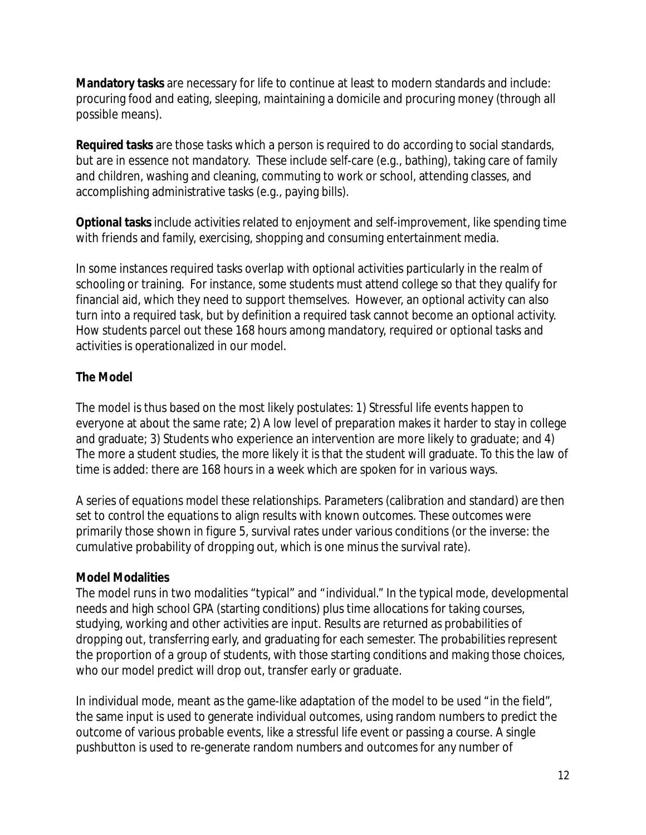**Mandatory tasks** are necessary for life to continue at least to modern standards and include: procuring food and eating, sleeping, maintaining a domicile and procuring money (through all possible means).

**Required tasks** are those tasks which a person is required to do according to social standards, but are in essence not mandatory. These include self-care (e.g., bathing), taking care of family and children, washing and cleaning, commuting to work or school, attending classes, and accomplishing administrative tasks (e.g., paying bills).

**Optional tasks** include activities related to enjoyment and self-improvement, like spending time with friends and family, exercising, shopping and consuming entertainment media.

In some instances required tasks overlap with optional activities particularly in the realm of schooling or training. For instance, some students must attend college so that they qualify for financial aid, which they need to support themselves. However, an optional activity can also turn into a required task, but by definition a required task cannot become an optional activity. How students parcel out these 168 hours among mandatory, required or optional tasks and activities is operationalized in our model.

# **The Model**

The model is thus based on the most likely postulates: 1) Stressful life events happen to everyone at about the same rate; 2) A low level of preparation makes it harder to stay in college and graduate; 3) Students who experience an intervention are more likely to graduate; and 4) The more a student studies, the more likely it is that the student will graduate. To this the law of time is added: there are 168 hours in a week which are spoken for in various ways.

A series of equations model these relationships. Parameters (calibration and standard) are then set to control the equations to align results with known outcomes. These outcomes were primarily those shown in figure 5, survival rates under various conditions (or the inverse: the cumulative probability of dropping out, which is one minus the survival rate).

# **Model Modalities**

The model runs in two modalities "typical" and "individual." In the typical mode, developmental needs and high school GPA (starting conditions) plus time allocations for taking courses, studying, working and other activities are input. Results are returned as probabilities of dropping out, transferring early, and graduating for each semester. The probabilities represent the proportion of a group of students, with those starting conditions and making those choices, who our model predict will drop out, transfer early or graduate.

In individual mode, meant as the game-like adaptation of the model to be used "in the field", the same input is used to generate individual outcomes, using random numbers to predict the outcome of various probable events, like a stressful life event or passing a course. A single pushbutton is used to re-generate random numbers and outcomes for any number of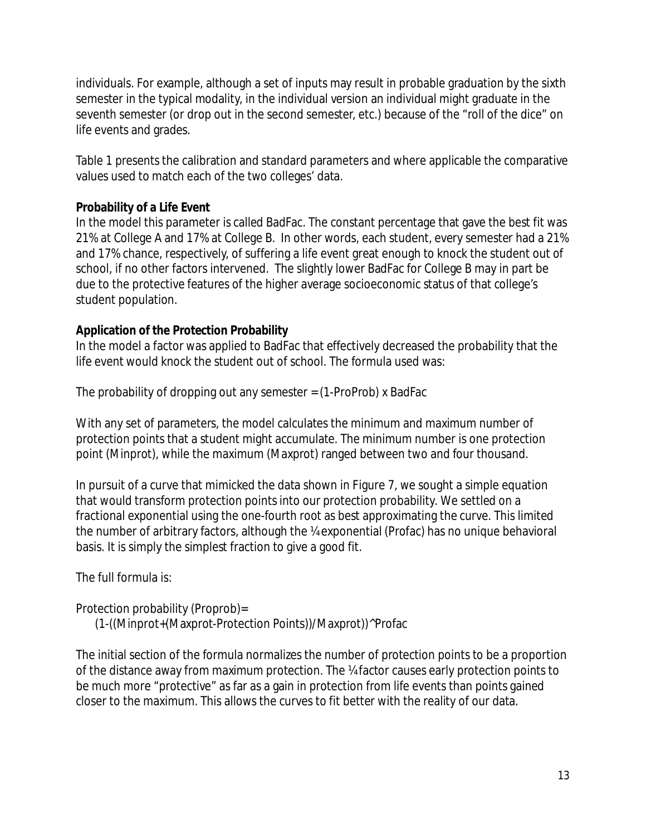individuals. For example, although a set of inputs may result in probable graduation by the sixth semester in the typical modality, in the individual version an individual might graduate in the seventh semester (or drop out in the second semester, etc.) because of the "roll of the dice" on life events and grades.

Table 1 presents the calibration and standard parameters and where applicable the comparative values used to match each of the two colleges' data.

#### **Probability of a Life Event**

In the model this parameter is called BadFac. The constant percentage that gave the best fit was 21% at College A and 17% at College B. In other words, each student, every semester had a 21% and 17% chance, respectively, of suffering a life event great enough to knock the student out of school, if no other factors intervened. The slightly lower BadFac for College B may in part be due to the protective features of the higher average socioeconomic status of that college's student population.

# **Application of the Protection Probability**

In the model a factor was applied to BadFac that effectively decreased the probability that the life event would knock the student out of school. The formula used was:

The probability of dropping out any semester  $=$  (1-ProProb) x BadFac

With any set of parameters, the model calculates the minimum and maximum number of protection points that a student might accumulate. The minimum number is one protection point (Minprot), while the maximum (Maxprot) ranged between two and four thousand.

In pursuit of a curve that mimicked the data shown in Figure 7, we sought a simple equation that would transform protection points into our protection probability. We settled on a fractional exponential using the one-fourth root as best approximating the curve. This limited the number of arbitrary factors, although the ¼ exponential (Profac) has no unique behavioral basis. It is simply the simplest fraction to give a good fit.

The full formula is:

# Protection probability (Proprob)=

(1-((Minprot+(Maxprot-Protection Points))/Maxprot))^Profac

The initial section of the formula normalizes the number of protection points to be a proportion of the distance away from maximum protection. The ¼ factor causes early protection points to be much more "protective" as far as a gain in protection from life events than points gained closer to the maximum. This allows the curves to fit better with the reality of our data.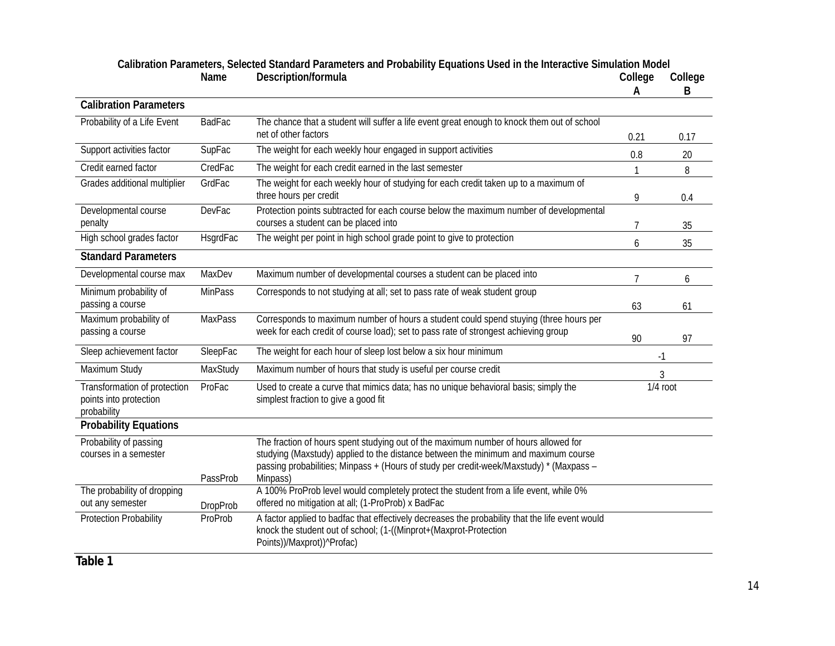|                                                                       |                 |                                                                                                                                                                                                                                                                                  | Α              | B    |
|-----------------------------------------------------------------------|-----------------|----------------------------------------------------------------------------------------------------------------------------------------------------------------------------------------------------------------------------------------------------------------------------------|----------------|------|
| <b>Calibration Parameters</b>                                         |                 |                                                                                                                                                                                                                                                                                  |                |      |
| Probability of a Life Event                                           | <b>BadFac</b>   | The chance that a student will suffer a life event great enough to knock them out of school<br>net of other factors                                                                                                                                                              | 0.21           | 0.17 |
| Support activities factor                                             | SupFac          | The weight for each weekly hour engaged in support activities                                                                                                                                                                                                                    | 0.8            | 20   |
| Credit earned factor                                                  | CredFac         | The weight for each credit earned in the last semester                                                                                                                                                                                                                           | 1              | 8    |
| Grades additional multiplier                                          | GrdFac          | The weight for each weekly hour of studying for each credit taken up to a maximum of<br>three hours per credit                                                                                                                                                                   | 9              | 0.4  |
| Developmental course<br>penalty                                       | <b>DevFac</b>   | Protection points subtracted for each course below the maximum number of developmental<br>courses a student can be placed into                                                                                                                                                   | 7              | 35   |
| High school grades factor                                             | HsgrdFac        | The weight per point in high school grade point to give to protection                                                                                                                                                                                                            | 6              | 35   |
| <b>Standard Parameters</b>                                            |                 |                                                                                                                                                                                                                                                                                  |                |      |
| Developmental course max                                              | MaxDev          | Maximum number of developmental courses a student can be placed into                                                                                                                                                                                                             | $\overline{7}$ | 6    |
| Minimum probability of<br>passing a course                            | <b>MinPass</b>  | Corresponds to not studying at all; set to pass rate of weak student group                                                                                                                                                                                                       |                |      |
| Maximum probability of                                                | <b>MaxPass</b>  | Corresponds to maximum number of hours a student could spend stuying (three hours per                                                                                                                                                                                            | 63             | 61   |
| passing a course                                                      |                 | week for each credit of course load); set to pass rate of strongest achieving group                                                                                                                                                                                              | 90             | 97   |
| Sleep achievement factor                                              | SleepFac        | The weight for each hour of sleep lost below a six hour minimum                                                                                                                                                                                                                  | $-1$           |      |
| Maximum Study                                                         | MaxStudy        | Maximum number of hours that study is useful per course credit                                                                                                                                                                                                                   | 3              |      |
| Transformation of protection<br>points into protection<br>probability | ProFac          | Used to create a curve that mimics data; has no unique behavioral basis; simply the<br>simplest fraction to give a good fit                                                                                                                                                      | $1/4$ root     |      |
| Probability Equations                                                 |                 |                                                                                                                                                                                                                                                                                  |                |      |
| Probability of passing<br>courses in a semester                       | PassProb        | The fraction of hours spent studying out of the maximum number of hours allowed for<br>studying (Maxstudy) applied to the distance between the minimum and maximum course<br>passing probabilities; Minpass + (Hours of study per credit-week/Maxstudy) * (Maxpass -<br>Minpass) |                |      |
| The probability of dropping<br>out any semester                       | <b>DropProb</b> | A 100% ProProb level would completely protect the student from a life event, while 0%<br>offered no mitigation at all; (1-ProProb) x BadFac                                                                                                                                      |                |      |
| <b>Protection Probability</b>                                         | ProProb         | A factor applied to badfac that effectively decreases the probability that the life event would<br>knock the student out of school; (1-((Minprot+(Maxprot-Protection<br>Points))/Maxprot))^Profac)                                                                               |                |      |

#### **Calibration Parameters, Selected Standard Parameters and Probability Equations Used in the Interactive Simulation Model**  Name Description/formula **College College** College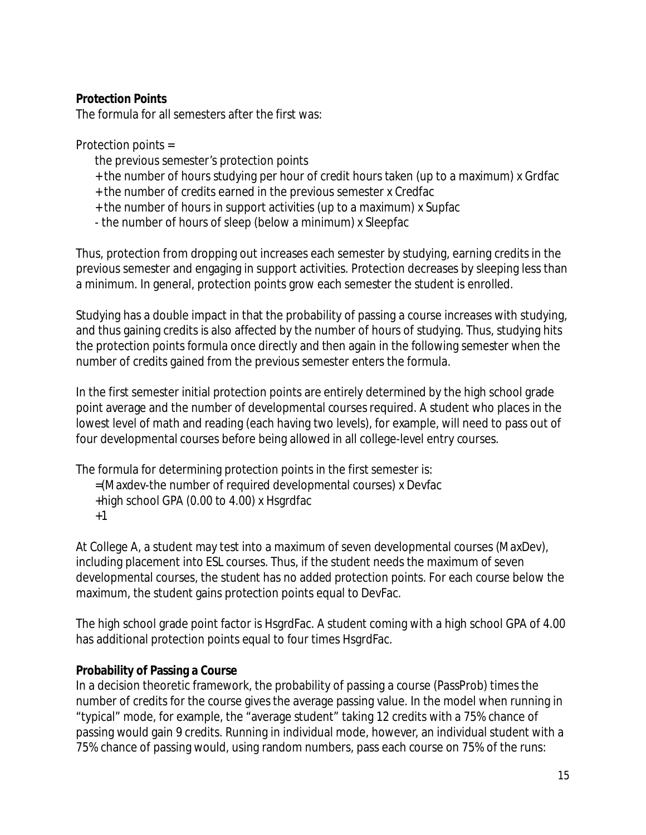**Protection Points** 

The formula for all semesters after the first was:

Protection points =

- the previous semester's protection points
- + the number of hours studying per hour of credit hours taken (up to a maximum) x Grdfac
- + the number of credits earned in the previous semester x Credfac
- + the number of hours in support activities (up to a maximum) x Supfac
- the number of hours of sleep (below a minimum) x Sleepfac

Thus, protection from dropping out increases each semester by studying, earning credits in the previous semester and engaging in support activities. Protection decreases by sleeping less than a minimum. In general, protection points grow each semester the student is enrolled.

Studying has a double impact in that the probability of passing a course increases with studying, and thus gaining credits is also affected by the number of hours of studying. Thus, studying hits the protection points formula once directly and then again in the following semester when the number of credits gained from the previous semester enters the formula.

In the first semester initial protection points are entirely determined by the high school grade point average and the number of developmental courses required. A student who places in the lowest level of math and reading (each having two levels), for example, will need to pass out of four developmental courses before being allowed in all college-level entry courses.

The formula for determining protection points in the first semester is:

=(Maxdev-the number of required developmental courses) x Devfac

- +high school GPA (0.00 to 4.00) x Hsgrdfac
- +1

At College A, a student may test into a maximum of seven developmental courses (MaxDev), including placement into ESL courses. Thus, if the student needs the maximum of seven developmental courses, the student has no added protection points. For each course below the maximum, the student gains protection points equal to DevFac.

The high school grade point factor is HsgrdFac. A student coming with a high school GPA of 4.00 has additional protection points equal to four times HsgrdFac.

# **Probability of Passing a Course**

In a decision theoretic framework, the probability of passing a course (PassProb) times the number of credits for the course gives the average passing value. In the model when running in "typical" mode, for example, the "average student" taking 12 credits with a 75% chance of passing would gain 9 credits. Running in individual mode, however, an individual student with a 75% chance of passing would, using random numbers, pass each course on 75% of the runs: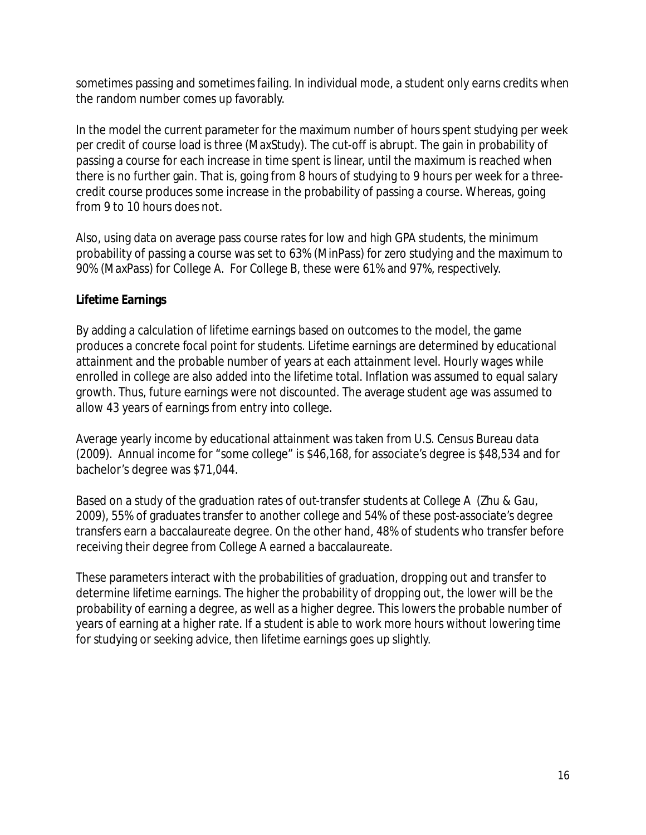sometimes passing and sometimes failing. In individual mode, a student only earns credits when the random number comes up favorably.

In the model the current parameter for the maximum number of hours spent studying per week per credit of course load is three (MaxStudy). The cut-off is abrupt. The gain in probability of passing a course for each increase in time spent is linear, until the maximum is reached when there is no further gain. That is, going from 8 hours of studying to 9 hours per week for a threecredit course produces some increase in the probability of passing a course. Whereas, going from 9 to 10 hours does not.

Also, using data on average pass course rates for low and high GPA students, the minimum probability of passing a course was set to 63% (MinPass) for zero studying and the maximum to 90% (MaxPass) for College A. For College B, these were 61% and 97%, respectively.

# **Lifetime Earnings**

By adding a calculation of lifetime earnings based on outcomes to the model, the game produces a concrete focal point for students. Lifetime earnings are determined by educational attainment and the probable number of years at each attainment level. Hourly wages while enrolled in college are also added into the lifetime total. Inflation was assumed to equal salary growth. Thus, future earnings were not discounted. The average student age was assumed to allow 43 years of earnings from entry into college.

Average yearly income by educational attainment was taken from U.S. Census Bureau data (2009). Annual income for "some college" is \$46,168, for associate's degree is \$48,534 and for bachelor's degree was \$71,044.

Based on a study of the graduation rates of out-transfer students at College A (Zhu & Gau, 2009), 55% of graduates transfer to another college and 54% of these post-associate's degree transfers earn a baccalaureate degree. On the other hand, 48% of students who transfer before receiving their degree from College A earned a baccalaureate.

These parameters interact with the probabilities of graduation, dropping out and transfer to determine lifetime earnings. The higher the probability of dropping out, the lower will be the probability of earning a degree, as well as a higher degree. This lowers the probable number of years of earning at a higher rate. If a student is able to work more hours without lowering time for studying or seeking advice, then lifetime earnings goes up slightly.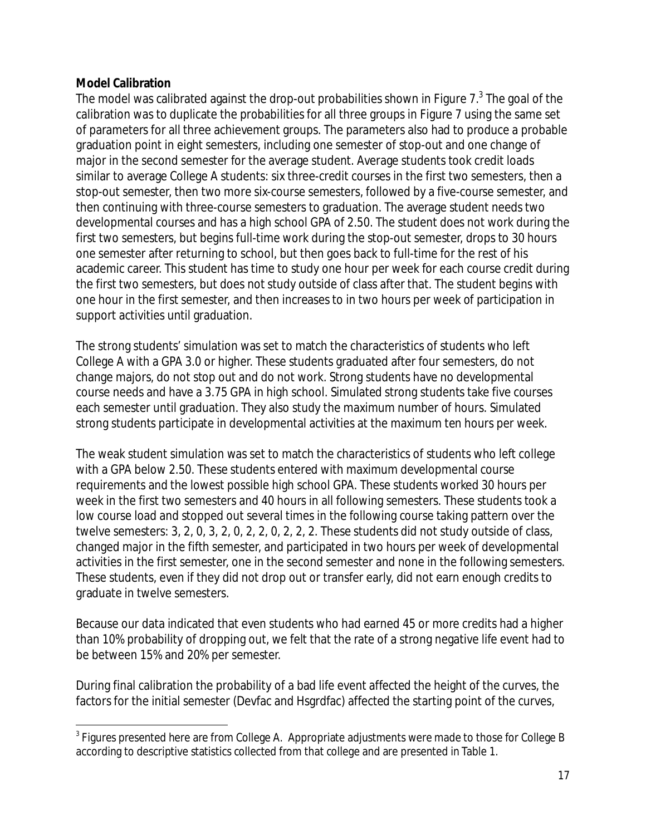# **Model Calibration**

 $\overline{a}$ 

The model was calibrated against the drop-out probabilities shown in Figure  $7<sup>3</sup>$  The goal of the calibration was to duplicate the probabilities for all three groups in Figure 7 using the same set of parameters for all three achievement groups. The parameters also had to produce a probable graduation point in eight semesters, including one semester of stop-out and one change of major in the second semester for the average student. Average students took credit loads similar to average College A students: six three-credit courses in the first two semesters, then a stop-out semester, then two more six-course semesters, followed by a five-course semester, and then continuing with three-course semesters to graduation. The average student needs two developmental courses and has a high school GPA of 2.50. The student does not work during the first two semesters, but begins full-time work during the stop-out semester, drops to 30 hours one semester after returning to school, but then goes back to full-time for the rest of his academic career. This student has time to study one hour per week for each course credit during the first two semesters, but does not study outside of class after that. The student begins with one hour in the first semester, and then increases to in two hours per week of participation in support activities until graduation.

The strong students' simulation was set to match the characteristics of students who left College A with a GPA 3.0 or higher. These students graduated after four semesters, do not change majors, do not stop out and do not work. Strong students have no developmental course needs and have a 3.75 GPA in high school. Simulated strong students take five courses each semester until graduation. They also study the maximum number of hours. Simulated strong students participate in developmental activities at the maximum ten hours per week.

The weak student simulation was set to match the characteristics of students who left college with a GPA below 2.50. These students entered with maximum developmental course requirements and the lowest possible high school GPA. These students worked 30 hours per week in the first two semesters and 40 hours in all following semesters. These students took a low course load and stopped out several times in the following course taking pattern over the twelve semesters: 3, 2, 0, 3, 2, 0, 2, 2, 0, 2, 2, 2. These students did not study outside of class, changed major in the fifth semester, and participated in two hours per week of developmental activities in the first semester, one in the second semester and none in the following semesters. These students, even if they did not drop out or transfer early, did not earn enough credits to graduate in twelve semesters.

Because our data indicated that even students who had earned 45 or more credits had a higher than 10% probability of dropping out, we felt that the rate of a strong negative life event had to be between 15% and 20% per semester.

During final calibration the probability of a bad life event affected the height of the curves, the factors for the initial semester (Devfac and Hsgrdfac) affected the starting point of the curves,

<sup>&</sup>lt;sup>3</sup> Figures presented here are from College A. Appropriate adjustments were made to those for College B according to descriptive statistics collected from that college and are presented in Table 1.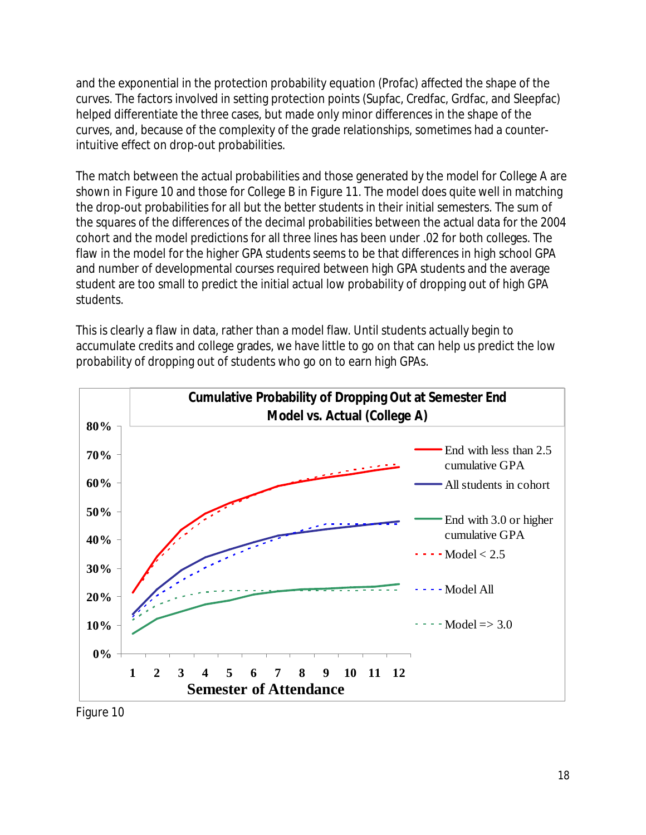and the exponential in the protection probability equation (Profac) affected the shape of the curves. The factors involved in setting protection points (Supfac, Credfac, Grdfac, and Sleepfac) helped differentiate the three cases, but made only minor differences in the shape of the curves, and, because of the complexity of the grade relationships, sometimes had a counterintuitive effect on drop-out probabilities.

The match between the actual probabilities and those generated by the model for College A are shown in Figure 10 and those for College B in Figure 11. The model does quite well in matching the drop-out probabilities for all but the better students in their initial semesters. The sum of the squares of the differences of the decimal probabilities between the actual data for the 2004 cohort and the model predictions for all three lines has been under .02 for both colleges. The flaw in the model for the higher GPA students seems to be that differences in high school GPA and number of developmental courses required between high GPA students and the average student are too small to predict the initial actual low probability of dropping out of high GPA students.

This is clearly a flaw in data, rather than a model flaw. Until students actually begin to accumulate credits and college grades, we have little to go on that can help us predict the low probability of dropping out of students who go on to earn high GPAs.



Figure 10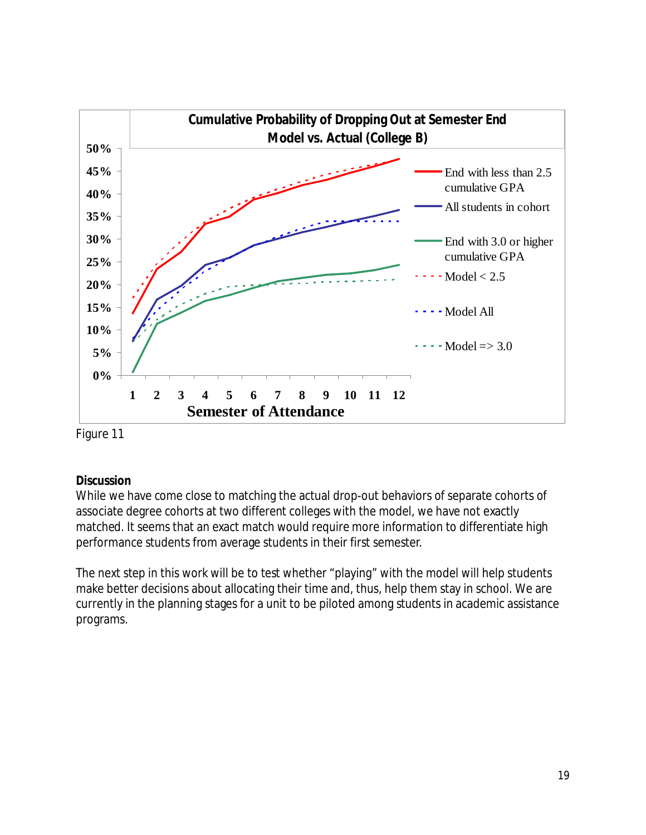

Figure 11

# **Discussion**

While we have come close to matching the actual drop-out behaviors of separate cohorts of associate degree cohorts at two different colleges with the model, we have not exactly matched. It seems that an exact match would require more information to differentiate high performance students from average students in their first semester.

The next step in this work will be to test whether "playing" with the model will help students make better decisions about allocating their time and, thus, help them stay in school. We are currently in the planning stages for a unit to be piloted among students in academic assistance programs.